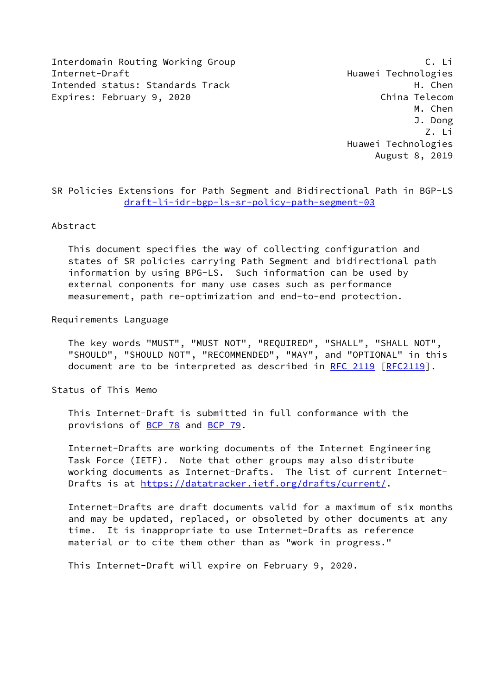Interdomain Routing Working Group C. Li Internet-Draft Huawei Technologies Intended status: Standards Track H. Chen Expires: February 9, 2020 China Telecom

 M. Chen J. Dong Z. Li Huawei Technologies August 8, 2019

SR Policies Extensions for Path Segment and Bidirectional Path in BGP-LS [draft-li-idr-bgp-ls-sr-policy-path-segment-03](https://datatracker.ietf.org/doc/pdf/draft-li-idr-bgp-ls-sr-policy-path-segment-03)

### Abstract

 This document specifies the way of collecting configuration and states of SR policies carrying Path Segment and bidirectional path information by using BPG-LS. Such information can be used by external conponents for many use cases such as performance measurement, path re-optimization and end-to-end protection.

### Requirements Language

 The key words "MUST", "MUST NOT", "REQUIRED", "SHALL", "SHALL NOT", "SHOULD", "SHOULD NOT", "RECOMMENDED", "MAY", and "OPTIONAL" in this document are to be interpreted as described in [RFC 2119 \[RFC2119](https://datatracker.ietf.org/doc/pdf/rfc2119)].

Status of This Memo

 This Internet-Draft is submitted in full conformance with the provisions of [BCP 78](https://datatracker.ietf.org/doc/pdf/bcp78) and [BCP 79](https://datatracker.ietf.org/doc/pdf/bcp79).

 Internet-Drafts are working documents of the Internet Engineering Task Force (IETF). Note that other groups may also distribute working documents as Internet-Drafts. The list of current Internet- Drafts is at<https://datatracker.ietf.org/drafts/current/>.

 Internet-Drafts are draft documents valid for a maximum of six months and may be updated, replaced, or obsoleted by other documents at any time. It is inappropriate to use Internet-Drafts as reference material or to cite them other than as "work in progress."

This Internet-Draft will expire on February 9, 2020.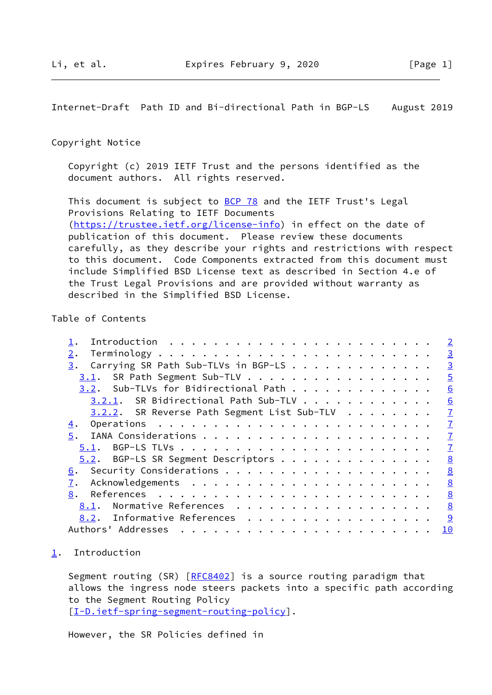<span id="page-1-1"></span>Internet-Draft Path ID and Bi-directional Path in BGP-LS August 2019

### Copyright Notice

 Copyright (c) 2019 IETF Trust and the persons identified as the document authors. All rights reserved.

This document is subject to **[BCP 78](https://datatracker.ietf.org/doc/pdf/bcp78)** and the IETF Trust's Legal Provisions Relating to IETF Documents [\(https://trustee.ietf.org/license-info](https://trustee.ietf.org/license-info)) in effect on the date of publication of this document. Please review these documents carefully, as they describe your rights and restrictions with respect to this document. Code Components extracted from this document must include Simplified BSD License text as described in Section 4.e of the Trust Legal Provisions and are provided without warranty as described in the Simplified BSD License.

## Table of Contents

|                                                | $\overline{\phantom{0}}$ 2 |
|------------------------------------------------|----------------------------|
| 2.                                             | $\overline{3}$             |
| Carrying SR Path Sub-TLVs in BGP-LS<br>3.      | $\overline{3}$             |
| 3.1. SR Path Segment Sub-TLV                   | $\overline{5}$             |
| 3.2. Sub-TLVs for Bidirectional Path           | 6                          |
| $3.2.1$ . SR Bidirectional Path Sub-TLV        | 6                          |
| $3.2.2$ . SR Reverse Path Segment List Sub-TLV | $\overline{1}$             |
| 4.                                             | $\overline{1}$             |
|                                                | $\overline{1}$             |
|                                                | $\overline{1}$             |
| 5.2. BGP-LS SR Segment Descriptors             | 8                          |
|                                                | 8                          |
| 7.                                             | 8                          |
| 8.                                             | 8                          |
| Normative References<br>8.1.                   | 8                          |
| 8.2. Informative References                    |                            |
| Authors' Addresses                             | 10                         |
|                                                |                            |

### <span id="page-1-0"></span>[1](#page-1-0). Introduction

Segment routing (SR) [\[RFC8402](https://datatracker.ietf.org/doc/pdf/rfc8402)] is a source routing paradigm that allows the ingress node steers packets into a specific path according to the Segment Routing Policy [\[I-D.ietf-spring-segment-routing-policy](#page-9-2)].

However, the SR Policies defined in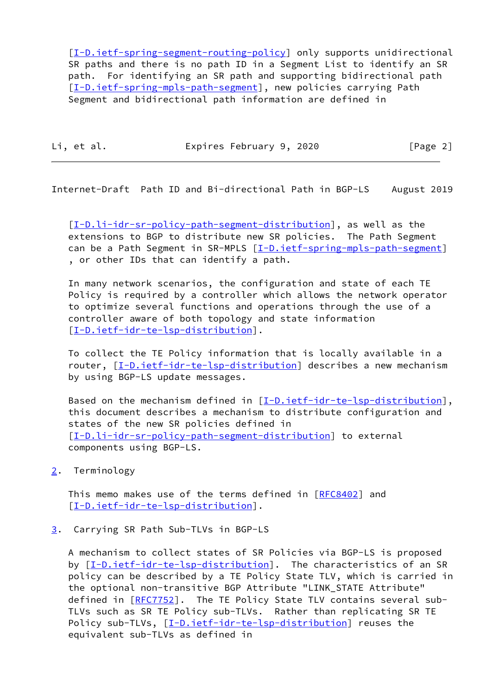[\[I-D.ietf-spring-segment-routing-policy](#page-9-2)] only supports unidirectional SR paths and there is no path ID in a Segment List to identify an SR path. For identifying an SR path and supporting bidirectional path [\[I-D.ietf-spring-mpls-path-segment](#page-9-3)], new policies carrying Path Segment and bidirectional path information are defined in

Li, et al. Expires February 9, 2020 [Page 2]

<span id="page-2-1"></span>Internet-Draft Path ID and Bi-directional Path in BGP-LS August 2019

 [\[I-D.li-idr-sr-policy-path-segment-distribution](#page-3-0)], as well as the extensions to BGP to distribute new SR policies. The Path Segment can be a Path Segment in SR-MPLS [\[I-D.ietf-spring-mpls-path-segment\]](#page-9-3) , or other IDs that can identify a path.

 In many network scenarios, the configuration and state of each TE Policy is required by a controller which allows the network operator to optimize several functions and operations through the use of a controller aware of both topology and state information [\[I-D.ietf-idr-te-lsp-distribution](#page-8-5)].

 To collect the TE Policy information that is locally available in a router, [\[I-D.ietf-idr-te-lsp-distribution](#page-8-5)] describes a new mechanism by using BGP-LS update messages.

Based on the mechanism defined in  $[I-D.iet f-idr-te-lsp-distribution]$ , this document describes a mechanism to distribute configuration and states of the new SR policies defined in [\[I-D.li-idr-sr-policy-path-segment-distribution](#page-3-0)] to external components using BGP-LS.

<span id="page-2-0"></span>[2](#page-2-0). Terminology

This memo makes use of the terms defined in [\[RFC8402](https://datatracker.ietf.org/doc/pdf/rfc8402)] and [\[I-D.ietf-idr-te-lsp-distribution](#page-8-5)].

<span id="page-2-2"></span>[3](#page-2-2). Carrying SR Path Sub-TLVs in BGP-LS

 A mechanism to collect states of SR Policies via BGP-LS is proposed by  $[I-D.iett-idr-te-lsp-distribution]$ . The characteristics of an SR policy can be described by a TE Policy State TLV, which is carried in the optional non-transitive BGP Attribute "LINK\_STATE Attribute" defined in [[RFC7752\]](https://datatracker.ietf.org/doc/pdf/rfc7752). The TE Policy State TLV contains several sub- TLVs such as SR TE Policy sub-TLVs. Rather than replicating SR TE Policy sub-TLVs, [\[I-D.ietf-idr-te-lsp-distribution](#page-8-5)] reuses the equivalent sub-TLVs as defined in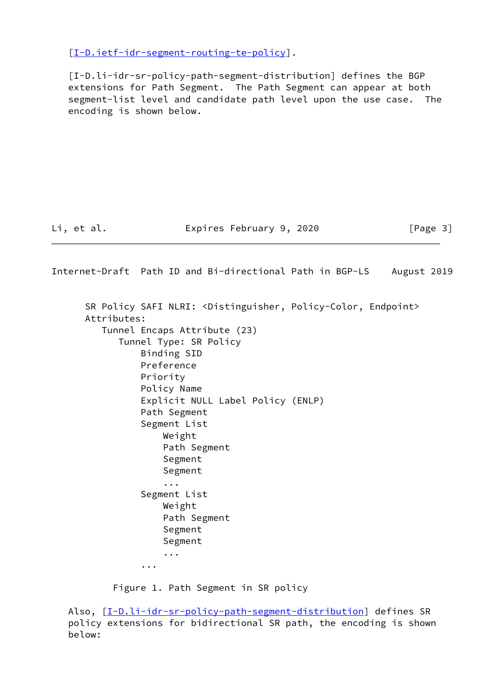[\[I-D.ietf-idr-segment-routing-te-policy](#page-8-6)].

<span id="page-3-0"></span> [I-D.li-idr-sr-policy-path-segment-distribution] defines the BGP extensions for Path Segment. The Path Segment can appear at both segment-list level and candidate path level upon the use case. The encoding is shown below.

Li, et al. **Expires February 9, 2020** [Page 3]

Internet-Draft Path ID and Bi-directional Path in BGP-LS August 2019 SR Policy SAFI NLRI: <Distinguisher, Policy-Color, Endpoint> Attributes: Tunnel Encaps Attribute (23) Tunnel Type: SR Policy Binding SID Preference Priority Policy Name Explicit NULL Label Policy (ENLP) Path Segment Segment List Weight Path Segment Segment Segment ... Segment List Weight Path Segment Segment Segment ... ...

Figure 1. Path Segment in SR policy

Also, [[I-D.li-idr-sr-policy-path-segment-distribution](#page-3-0)] defines SR policy extensions for bidirectional SR path, the encoding is shown below: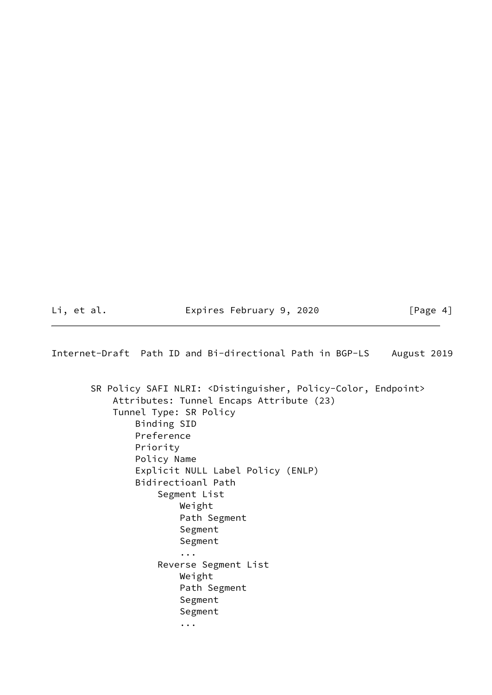Li, et al. Expires February 9, 2020 [Page 4]

<span id="page-4-0"></span>Internet-Draft Path ID and Bi-directional Path in BGP-LS August 2019

 SR Policy SAFI NLRI: <Distinguisher, Policy-Color, Endpoint> Attributes: Tunnel Encaps Attribute (23) Tunnel Type: SR Policy Binding SID Preference Priority Policy Name Explicit NULL Label Policy (ENLP) Bidirectioanl Path Segment List Weight Path Segment Segment Segment ... Reverse Segment List Weight Path Segment Segment Segment ...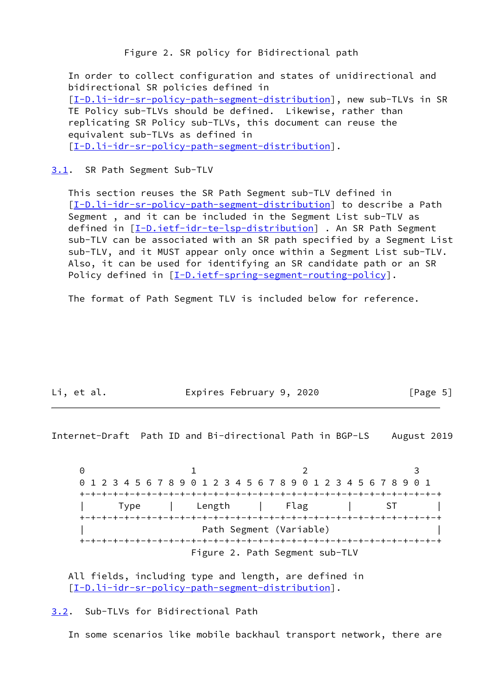Figure 2. SR policy for Bidirectional path

 In order to collect configuration and states of unidirectional and bidirectional SR policies defined in [\[I-D.li-idr-sr-policy-path-segment-distribution](#page-3-0)], new sub-TLVs in SR TE Policy sub-TLVs should be defined. Likewise, rather than replicating SR Policy sub-TLVs, this document can reuse the equivalent sub-TLVs as defined in [\[I-D.li-idr-sr-policy-path-segment-distribution](#page-3-0)].

### <span id="page-5-0"></span>[3.1](#page-5-0). SR Path Segment Sub-TLV

 This section reuses the SR Path Segment sub-TLV defined in [\[I-D.li-idr-sr-policy-path-segment-distribution](#page-3-0)] to describe a Path Segment , and it can be included in the Segment List sub-TLV as defined in [[I-D.ietf-idr-te-lsp-distribution\]](#page-8-5) . An SR Path Segment sub-TLV can be associated with an SR path specified by a Segment List sub-TLV, and it MUST appear only once within a Segment List sub-TLV. Also, it can be used for identifying an SR candidate path or an SR Policy defined in [[I-D.ietf-spring-segment-routing-policy](#page-9-2)].

The format of Path Segment TLV is included below for reference.

Li, et al. **Expires February 9, 2020** [Page 5]

<span id="page-5-2"></span>Internet-Draft Path ID and Bi-directional Path in BGP-LS August 2019

0 1 2 3 0 1 2 3 4 5 6 7 8 9 0 1 2 3 4 5 6 7 8 9 0 1 2 3 4 5 6 7 8 9 0 1 +-+-+-+-+-+-+-+-+-+-+-+-+-+-+-+-+-+-+-+-+-+-+-+-+-+-+-+-+-+-+-+-+ | Type | Length | Flag | ST | +-+-+-+-+-+-+-+-+-+-+-+-+-+-+-+-+-+-+-+-+-+-+-+-+-+-+-+-+-+-+-+-+ Path Segment (Variable) +-+-+-+-+-+-+-+-+-+-+-+-+-+-+-+-+-+-+-+-+-+-+-+-+-+-+-+-+-+-+-+-+ Figure 2. Path Segment sub-TLV

 All fields, including type and length, are defined in [\[I-D.li-idr-sr-policy-path-segment-distribution](#page-3-0)].

<span id="page-5-1"></span>[3.2](#page-5-1). Sub-TLVs for Bidirectional Path

In some scenarios like mobile backhaul transport network, there are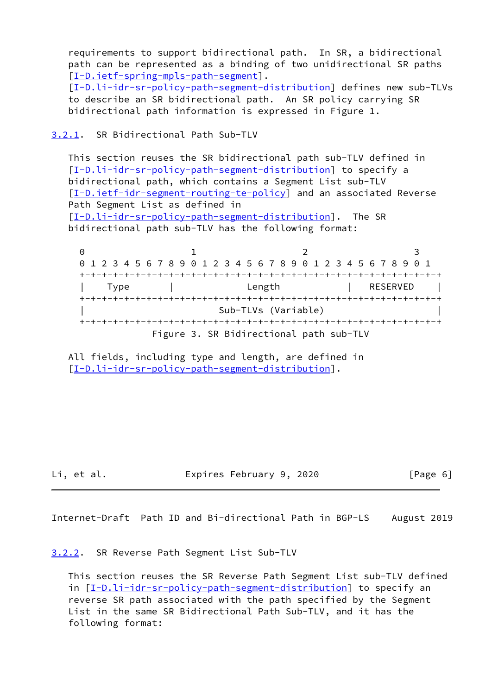requirements to support bidirectional path. In SR, a bidirectional path can be represented as a binding of two unidirectional SR paths [\[I-D.ietf-spring-mpls-path-segment](#page-9-3)]. [\[I-D.li-idr-sr-policy-path-segment-distribution](#page-3-0)] defines new sub-TLVs to describe an SR bidirectional path. An SR policy carrying SR bidirectional path information is expressed in Figure 1.

# <span id="page-6-0"></span>[3.2.1](#page-6-0). SR Bidirectional Path Sub-TLV

 This section reuses the SR bidirectional path sub-TLV defined in [\[I-D.li-idr-sr-policy-path-segment-distribution](#page-3-0)] to specify a bidirectional path, which contains a Segment List sub-TLV [\[I-D.ietf-idr-segment-routing-te-policy](#page-8-6)] and an associated Reverse Path Segment List as defined in [\[I-D.li-idr-sr-policy-path-segment-distribution](#page-3-0)]. The SR bidirectional path sub-TLV has the following format:

0 1 2 3 0 1 2 3 4 5 6 7 8 9 0 1 2 3 4 5 6 7 8 9 0 1 2 3 4 5 6 7 8 9 0 1 +-+-+-+-+-+-+-+-+-+-+-+-+-+-+-+-+-+-+-+-+-+-+-+-+-+-+-+-+-+-+-+-+ | Type | Length | RESERVED | +-+-+-+-+-+-+-+-+-+-+-+-+-+-+-+-+-+-+-+-+-+-+-+-+-+-+-+-+-+-+-+-+ Sub-TLVs (Variable) +-+-+-+-+-+-+-+-+-+-+-+-+-+-+-+-+-+-+-+-+-+-+-+-+-+-+-+-+-+-+-+-+ Figure 3. SR Bidirectional path sub-TLV

 All fields, including type and length, are defined in [\[I-D.li-idr-sr-policy-path-segment-distribution](#page-3-0)].

Li, et al. Expires February 9, 2020 [Page 6]

<span id="page-6-2"></span>Internet-Draft Path ID and Bi-directional Path in BGP-LS August 2019

<span id="page-6-1"></span>[3.2.2](#page-6-1). SR Reverse Path Segment List Sub-TLV

 This section reuses the SR Reverse Path Segment List sub-TLV defined in [[I-D.li-idr-sr-policy-path-segment-distribution](#page-3-0)] to specify an reverse SR path associated with the path specified by the Segment List in the same SR Bidirectional Path Sub-TLV, and it has the following format: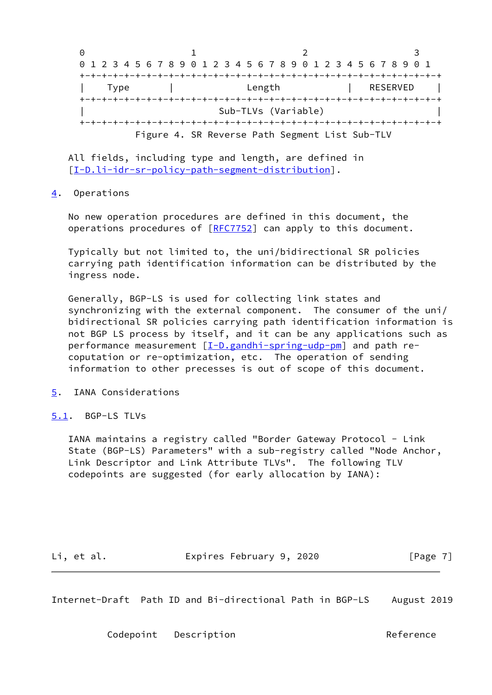|  |                                                                       |  |  | 0 1 2 3 4 5 6 7 8 9 0 1 2 3 4 5 6 7 8 9 0 1 2 3 4 5 6 7 8 9 0 1 |          |  |
|--|-----------------------------------------------------------------------|--|--|-----------------------------------------------------------------|----------|--|
|  |                                                                       |  |  |                                                                 |          |  |
|  | Type                                                                  |  |  | Length                                                          | RESERVED |  |
|  | Sub-TLVs (Variable)<br>Figure 4. SR Reverse Path Segment List Sub-TLV |  |  |                                                                 |          |  |
|  |                                                                       |  |  |                                                                 |          |  |

 All fields, including type and length, are defined in [\[I-D.li-idr-sr-policy-path-segment-distribution](#page-3-0)].

## <span id="page-7-0"></span>[4](#page-7-0). Operations

 No new operation procedures are defined in this document, the operations procedures of [\[RFC7752](https://datatracker.ietf.org/doc/pdf/rfc7752)] can apply to this document.

 Typically but not limited to, the uni/bidirectional SR policies carrying path identification information can be distributed by the ingress node.

 Generally, BGP-LS is used for collecting link states and synchronizing with the external component. The consumer of the uni/ bidirectional SR policies carrying path identification information is not BGP LS process by itself, and it can be any applications such as performance measurement [\[I-D.gandhi-spring-udp-pm](#page-9-4)] and path re coputation or re-optimization, etc. The operation of sending information to other precesses is out of scope of this document.

## <span id="page-7-1"></span>[5](#page-7-1). IANA Considerations

### <span id="page-7-2"></span>[5.1](#page-7-2). BGP-LS TLVs

 IANA maintains a registry called "Border Gateway Protocol - Link State (BGP-LS) Parameters" with a sub-registry called "Node Anchor, Link Descriptor and Link Attribute TLVs". The following TLV codepoints are suggested (for early allocation by IANA):

Li, et al. **Expires February 9, 2020** [Page 7]

<span id="page-7-3"></span>Internet-Draft Path ID and Bi-directional Path in BGP-LS August 2019

Codepoint Description **Contact Contact Contact Description**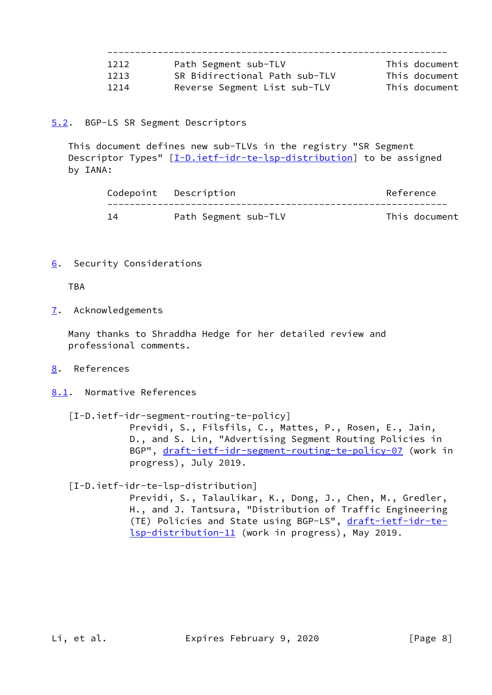| 1212 | Path Segment sub-TLV          | This document |
|------|-------------------------------|---------------|
| 1213 | SR Bidirectional Path sub-TLV | This document |
| 1214 | Reverse Segment List sub-TLV  | This document |

# <span id="page-8-0"></span>[5.2](#page-8-0). BGP-LS SR Segment Descriptors

 This document defines new sub-TLVs in the registry "SR Segment Descriptor Types" [[I-D.ietf-idr-te-lsp-distribution\]](#page-8-5) to be assigned by IANA:

|    | Codepoint Description | Reference     |  |
|----|-----------------------|---------------|--|
| 14 | Path Segment sub-TLV  | This document |  |

<span id="page-8-1"></span>[6](#page-8-1). Security Considerations

TBA

<span id="page-8-2"></span>[7](#page-8-2). Acknowledgements

 Many thanks to Shraddha Hedge for her detailed review and professional comments.

- <span id="page-8-3"></span>[8](#page-8-3). References
- <span id="page-8-4"></span>[8.1](#page-8-4). Normative References

<span id="page-8-6"></span>[I-D.ietf-idr-segment-routing-te-policy]

 Previdi, S., Filsfils, C., Mattes, P., Rosen, E., Jain, D., and S. Lin, "Advertising Segment Routing Policies in BGP", [draft-ietf-idr-segment-routing-te-policy-07](https://datatracker.ietf.org/doc/pdf/draft-ietf-idr-segment-routing-te-policy-07) (work in progress), July 2019.

<span id="page-8-5"></span>[I-D.ietf-idr-te-lsp-distribution]

 Previdi, S., Talaulikar, K., Dong, J., Chen, M., Gredler, H., and J. Tantsura, "Distribution of Traffic Engineering (TE) Policies and State using BGP-LS", [draft-ietf-idr-te](https://datatracker.ietf.org/doc/pdf/draft-ietf-idr-te-lsp-distribution-11) [lsp-distribution-11](https://datatracker.ietf.org/doc/pdf/draft-ietf-idr-te-lsp-distribution-11) (work in progress), May 2019.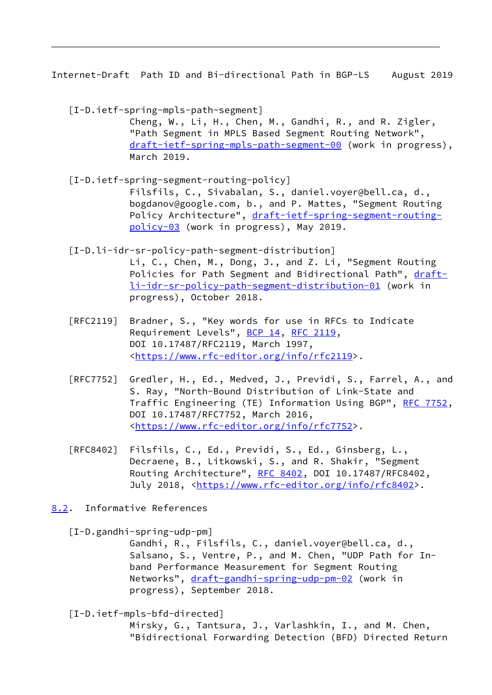<span id="page-9-1"></span>Internet-Draft Path ID and Bi-directional Path in BGP-LS August 2019

<span id="page-9-3"></span> [I-D.ietf-spring-mpls-path-segment] Cheng, W., Li, H., Chen, M., Gandhi, R., and R. Zigler, "Path Segment in MPLS Based Segment Routing Network", [draft-ietf-spring-mpls-path-segment-00](https://datatracker.ietf.org/doc/pdf/draft-ietf-spring-mpls-path-segment-00) (work in progress), March 2019.

- <span id="page-9-2"></span> [I-D.ietf-spring-segment-routing-policy] Filsfils, C., Sivabalan, S., daniel.voyer@bell.ca, d., bogdanov@google.com, b., and P. Mattes, "Segment Routing Policy Architecture", [draft-ietf-spring-segment-routing](https://datatracker.ietf.org/doc/pdf/draft-ietf-spring-segment-routing-policy-03) [policy-03](https://datatracker.ietf.org/doc/pdf/draft-ietf-spring-segment-routing-policy-03) (work in progress), May 2019.
- [I-D.li-idr-sr-policy-path-segment-distribution] Li, C., Chen, M., Dong, J., and Z. Li, "Segment Routing Policies for Path Segment and Bidirectional Path", [draft](https://datatracker.ietf.org/doc/pdf/draft-li-idr-sr-policy-path-segment-distribution-01) [li-idr-sr-policy-path-segment-distribution-01](https://datatracker.ietf.org/doc/pdf/draft-li-idr-sr-policy-path-segment-distribution-01) (work in progress), October 2018.
- [RFC2119] Bradner, S., "Key words for use in RFCs to Indicate Requirement Levels", [BCP 14](https://datatracker.ietf.org/doc/pdf/bcp14), [RFC 2119](https://datatracker.ietf.org/doc/pdf/rfc2119), DOI 10.17487/RFC2119, March 1997, <[https://www.rfc-editor.org/info/rfc2119>](https://www.rfc-editor.org/info/rfc2119).
- [RFC7752] Gredler, H., Ed., Medved, J., Previdi, S., Farrel, A., and S. Ray, "North-Bound Distribution of Link-State and Traffic Engineering (TE) Information Using BGP", [RFC 7752,](https://datatracker.ietf.org/doc/pdf/rfc7752) DOI 10.17487/RFC7752, March 2016, <[https://www.rfc-editor.org/info/rfc7752>](https://www.rfc-editor.org/info/rfc7752).
- [RFC8402] Filsfils, C., Ed., Previdi, S., Ed., Ginsberg, L., Decraene, B., Litkowski, S., and R. Shakir, "Segment Routing Architecture", [RFC 8402](https://datatracker.ietf.org/doc/pdf/rfc8402), DOI 10.17487/RFC8402, July 2018, <<https://www.rfc-editor.org/info/rfc8402>>.
- <span id="page-9-0"></span>[8.2](#page-9-0). Informative References

<span id="page-9-4"></span>[I-D.gandhi-spring-udp-pm]

 Gandhi, R., Filsfils, C., daniel.voyer@bell.ca, d., Salsano, S., Ventre, P., and M. Chen, "UDP Path for In band Performance Measurement for Segment Routing Networks", [draft-gandhi-spring-udp-pm-02](https://datatracker.ietf.org/doc/pdf/draft-gandhi-spring-udp-pm-02) (work in progress), September 2018.

[I-D.ietf-mpls-bfd-directed]

 Mirsky, G., Tantsura, J., Varlashkin, I., and M. Chen, "Bidirectional Forwarding Detection (BFD) Directed Return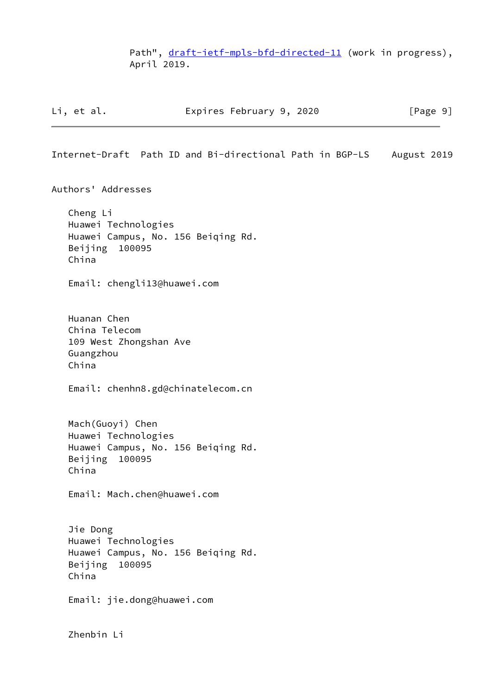Path", [draft-ietf-mpls-bfd-directed-11](https://datatracker.ietf.org/doc/pdf/draft-ietf-mpls-bfd-directed-11) (work in progress), April 2019.

| Li, et al. |  | Expires February 9, 2020 |  |  | [Page 9] |
|------------|--|--------------------------|--|--|----------|
|------------|--|--------------------------|--|--|----------|

<span id="page-10-0"></span>Internet-Draft Path ID and Bi-directional Path in BGP-LS August 2019

Authors' Addresses

 Cheng Li Huawei Technologies Huawei Campus, No. 156 Beiqing Rd. Beijing 100095 China

Email: chengli13@huawei.com

 Huanan Chen China Telecom 109 West Zhongshan Ave Guangzhou China

Email: chenhn8.gd@chinatelecom.cn

 Mach(Guoyi) Chen Huawei Technologies Huawei Campus, No. 156 Beiqing Rd. Beijing 100095 China

Email: Mach.chen@huawei.com

 Jie Dong Huawei Technologies Huawei Campus, No. 156 Beiqing Rd. Beijing 100095 China

Email: jie.dong@huawei.com

Zhenbin Li